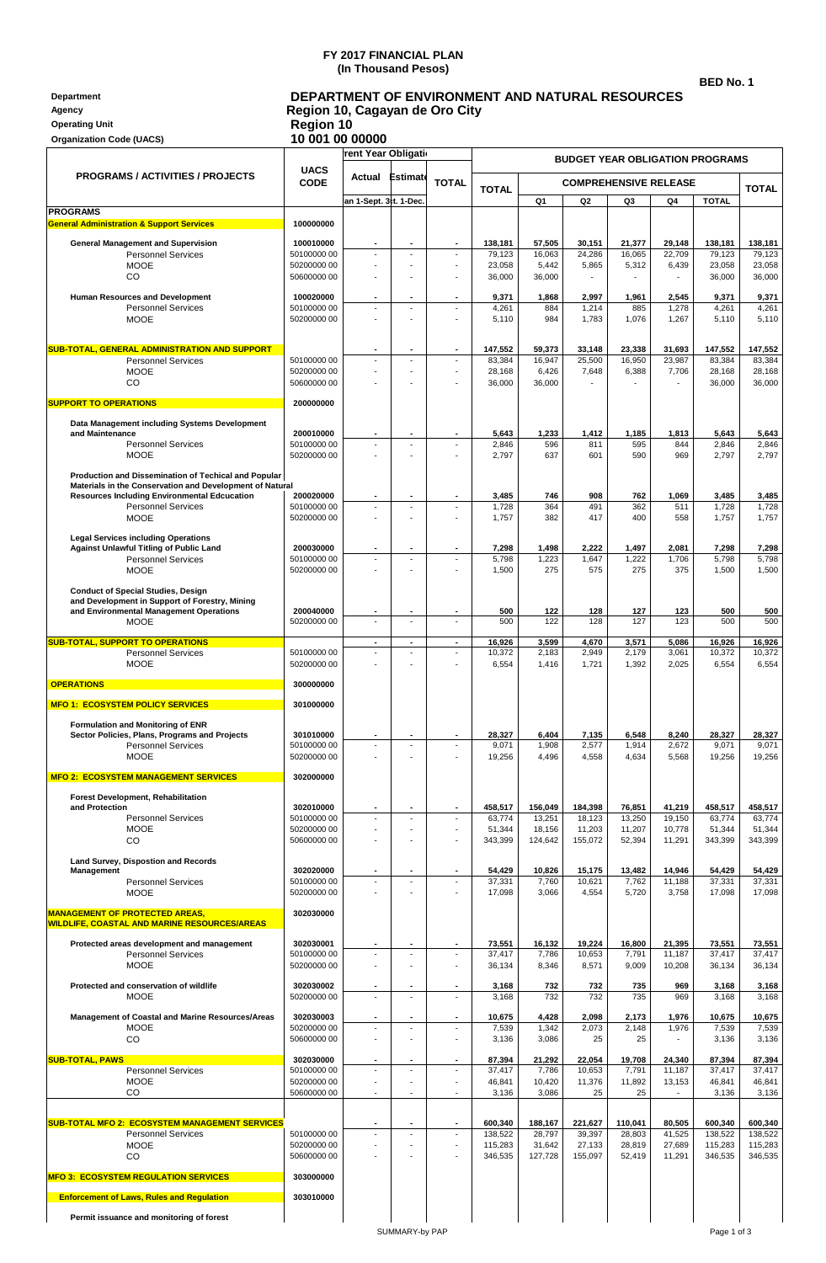## **FY 2017 FINANCIAL PLAN (In Thousand Pesos)**

**BED No. 1**

| Department<br>Agency<br><b>Operating Unit</b><br><b>Organization Code (UACS)</b>                                | <b>DEPARTMENT OF ENVIRONMENT AND NATURAL RESOURCES</b><br>Region 10, Cagayan de Oro City<br><b>Region 10</b><br>10 001 00 00000 |                                  |                                            |                                                      |                    |                                        |                              |                         |                                    |                    |                    |  |
|-----------------------------------------------------------------------------------------------------------------|---------------------------------------------------------------------------------------------------------------------------------|----------------------------------|--------------------------------------------|------------------------------------------------------|--------------------|----------------------------------------|------------------------------|-------------------------|------------------------------------|--------------------|--------------------|--|
| <b>PROGRAMS / ACTIVITIES / PROJECTS</b>                                                                         |                                                                                                                                 | rent Year Obligati               |                                            |                                                      |                    | <b>BUDGET YEAR OBLIGATION PROGRAMS</b> |                              |                         |                                    |                    |                    |  |
|                                                                                                                 | <b>UACS</b><br><b>CODE</b>                                                                                                      | Actual                           | Estimate                                   | <b>TOTAL</b>                                         |                    |                                        | <b>COMPREHENSIVE RELEASE</b> |                         |                                    |                    |                    |  |
|                                                                                                                 |                                                                                                                                 | an 1-Sept. 3tt. 1-Dec.           |                                            |                                                      | <b>TOTAL</b>       | Q <sub>1</sub>                         | Q <sub>2</sub>               | Q3                      | Q <sub>4</sub>                     | <b>TOTAL</b>       | <b>TOTAL</b>       |  |
| <b>PROGRAMS</b><br><b>General Administration &amp; Support Services</b>                                         | 100000000                                                                                                                       |                                  |                                            |                                                      |                    |                                        |                              |                         |                                    |                    |                    |  |
| <b>General Management and Supervision</b>                                                                       | 100010000                                                                                                                       |                                  | ٠                                          | ٠                                                    | 138,181            | 57,505                                 | 30,151                       | 21,377                  | 29,148                             | 138,181            | 138,181            |  |
| <b>Personnel Services</b>                                                                                       | 50100000 00                                                                                                                     |                                  |                                            |                                                      | 79,123             | 16,063                                 | 24,286                       | 16,065                  | 22,709                             | 79,123             | 79,123             |  |
| <b>MOOE</b><br>CO                                                                                               | 50200000 00<br>50600000 00                                                                                                      |                                  | ÷,<br>ä,                                   | $\overline{\phantom{a}}$<br>$\overline{\phantom{a}}$ | 23,058<br>36,000   | 5,442<br>36,000                        | 5,865<br>$\blacksquare$      | 5,312<br>$\blacksquare$ | 6,439<br>$\overline{\phantom{a}}$  | 23,058<br>36,000   | 23,058<br>36,000   |  |
| Human Resources and Development                                                                                 | 100020000                                                                                                                       |                                  | $\blacksquare$                             | $\blacksquare$                                       | 9,371              | 1,868                                  | 2,997                        | 1,961                   | 2,545                              | 9,371              | 9,371              |  |
| <b>Personnel Services</b><br><b>MOOE</b>                                                                        | 50100000 00                                                                                                                     | $\blacksquare$                   | ÷,                                         | $\overline{\phantom{a}}$                             | 4,261              | 884                                    | 1,214                        | 885                     | 1,278                              | 4,261              | 4,261              |  |
|                                                                                                                 | 50200000 00                                                                                                                     |                                  |                                            |                                                      | 5,110              | 984                                    | 1,783                        | 1,076                   | 1,267                              | 5,110              | 5,110              |  |
| SUB-TOTAL, GENERAL ADMINISTRATION AND SUPPORT                                                                   |                                                                                                                                 |                                  | ٠                                          | $\blacksquare$                                       | 147,552            | 59,373                                 | 33,148                       | 23,338                  | 31,693                             | 147,552            | 147,552            |  |
| <b>Personnel Services</b><br><b>MOOE</b>                                                                        | 50100000 00<br>50200000 00                                                                                                      | $\sim$                           | $\overline{\phantom{a}}$                   | $\sim$                                               | 83,384<br>28,168   | 16,947<br>6,426                        | 25,500<br>7,648              | 16,950<br>6,388         | 23,987<br>7,706                    | 83,384<br>28,168   | 83,384<br>28,168   |  |
| CO                                                                                                              | 50600000 00                                                                                                                     |                                  |                                            |                                                      | 36,000             | 36,000                                 |                              |                         |                                    | 36,000             | 36,000             |  |
| <b>SUPPORT TO OPERATIONS</b>                                                                                    | 200000000                                                                                                                       |                                  |                                            |                                                      |                    |                                        |                              |                         |                                    |                    |                    |  |
| Data Management including Systems Development                                                                   |                                                                                                                                 |                                  |                                            |                                                      |                    |                                        |                              |                         |                                    |                    |                    |  |
| and Maintenance<br><b>Personnel Services</b>                                                                    | 200010000<br>50100000 00                                                                                                        |                                  | ٠<br>$\overline{a}$                        |                                                      | 5,643<br>2,846     | 1,233<br>596                           | 1,412<br>811                 | 1,185<br>595            | 1,813<br>844                       | 5,643<br>2,846     | 5,643<br>2,846     |  |
| <b>MOOE</b>                                                                                                     | 50200000 00                                                                                                                     |                                  |                                            |                                                      | 2,797              | 637                                    | 601                          | 590                     | 969                                | 2,797              | 2,797              |  |
| Production and Dissemination of Techical and Popular                                                            |                                                                                                                                 |                                  |                                            |                                                      |                    |                                        |                              |                         |                                    |                    |                    |  |
| Materials in the Conservation and Development of Natural<br><b>Resources Including Environmental Edcucation</b> | 200020000                                                                                                                       |                                  | ä,                                         | $\blacksquare$                                       | 3,485              | 746                                    | 908                          | 762                     | 1,069                              | 3,485              | 3,485              |  |
| <b>Personnel Services</b><br><b>MOOE</b>                                                                        | 50100000 00<br>50200000 00                                                                                                      | $\blacksquare$<br>$\overline{a}$ | ÷                                          | ÷<br>$\overline{\phantom{a}}$                        | 1,728<br>1,757     | 364<br>382                             | 491<br>417                   | 362<br>400              | 511<br>558                         | 1,728<br>1,757     | 1,728<br>1,757     |  |
|                                                                                                                 |                                                                                                                                 |                                  |                                            |                                                      |                    |                                        |                              |                         |                                    |                    |                    |  |
| <b>Legal Services including Operations</b><br><b>Against Unlawful Titling of Public Land</b>                    | 200030000                                                                                                                       |                                  |                                            |                                                      | 7,298              | 1,498                                  | 2,222                        | 1,497                   | 2,081                              | 7,298              | 7,298              |  |
| <b>Personnel Services</b><br><b>MOOE</b>                                                                        | 50100000 00<br>50200000 00                                                                                                      | $\overline{\phantom{a}}$         | $\overline{a}$                             | $\overline{\phantom{a}}$<br>$\overline{\phantom{a}}$ | 5,798<br>1,500     | 1,223<br>275                           | 1,647<br>575                 | 1,222<br>275            | 1,706<br>375                       | 5,798<br>1,500     | 5,798<br>1,500     |  |
|                                                                                                                 |                                                                                                                                 |                                  |                                            |                                                      |                    |                                        |                              |                         |                                    |                    |                    |  |
| <b>Conduct of Special Studies, Design</b><br>and Development in Support of Forestry, Mining                     |                                                                                                                                 |                                  |                                            |                                                      |                    |                                        |                              |                         |                                    |                    |                    |  |
| and Environmental Management Operations<br><b>MOOE</b>                                                          | 200040000<br>50200000 00                                                                                                        |                                  |                                            | $\overline{\phantom{a}}$                             | 500<br>500         | 122<br>122                             | 128<br>128                   | 127<br>127              | 123<br>123                         | 500<br>500         | 500<br>500         |  |
| <b>SUB-TOTAL, SUPPORT TO OPERATIONS</b>                                                                         |                                                                                                                                 | $\blacksquare$                   | $\blacksquare$                             | $\blacksquare$                                       | 16,926             | 3,599                                  | 4,670                        | 3,571                   | 5,086                              | 16,926             | 16,926             |  |
| <b>Personnel Services</b>                                                                                       | 50100000 00                                                                                                                     |                                  | $\overline{\phantom{a}}$                   | $\overline{\phantom{a}}$                             | 10,372             | 2,183                                  | 2,949                        | 2,179                   | 3,061                              | 10,372             | 10,372             |  |
| <b>MOOE</b>                                                                                                     | 50200000 00                                                                                                                     |                                  |                                            | $\overline{\phantom{a}}$                             | 6,554              | 1,416                                  | 1,721                        | 1,392                   | 2,025                              | 6,554              | 6,554              |  |
| <b>OPERATIONS</b>                                                                                               | 300000000                                                                                                                       |                                  |                                            |                                                      |                    |                                        |                              |                         |                                    |                    |                    |  |
| <b>MFO 1: ECOSYSTEM POLICY SERVICES</b>                                                                         | 301000000                                                                                                                       |                                  |                                            |                                                      |                    |                                        |                              |                         |                                    |                    |                    |  |
| Formulation and Monitoring of ENR<br>Sector Policies, Plans, Programs and Projects                              | 301010000                                                                                                                       |                                  |                                            |                                                      | 28,327             | 6,404                                  | 7,135                        | 6,548                   | 8,240                              | 28,327             | 28,327             |  |
| <b>Personnel Services</b>                                                                                       | 50100000 00                                                                                                                     | $\blacksquare$                   | $\overline{a}$                             | $\overline{\phantom{a}}$                             | 9,071              | 1,908                                  | 2,577                        | 1,914                   | 2,672                              | 9,071              | 9,071              |  |
| <b>MOOE</b>                                                                                                     | 50200000 00                                                                                                                     |                                  |                                            | $\sim$                                               | 19,256             | 4,496                                  | 4,558                        | 4,634                   | 5,568                              | 19,256             | 19,256             |  |
| <b>MFO 2: ECOSYSTEM MANAGEMENT SERVICES</b>                                                                     | 302000000                                                                                                                       |                                  |                                            |                                                      |                    |                                        |                              |                         |                                    |                    |                    |  |
| Forest Development, Rehabilitation<br>and Protection                                                            | 302010000                                                                                                                       | $\blacksquare$                   |                                            | $\blacksquare$                                       | 458,517            | 156,049                                | 184,398                      | 76,851                  | 41,219                             | 458,517            | 458,517            |  |
| <b>Personnel Services</b>                                                                                       | 50100000 00                                                                                                                     | $\blacksquare$                   | $\overline{a}$                             | $\overline{\phantom{a}}$                             | 63,774             | 13,251                                 | 18,123                       | 13,250                  | 19,150                             | 63,774             | 63,774             |  |
| <b>MOOE</b><br>CO                                                                                               | 50200000 00<br>50600000 00                                                                                                      |                                  | ä,<br>$\overline{a}$                       | $\overline{\phantom{a}}$<br>$\overline{a}$           | 51,344<br>343,399  | 18,156<br>124,642                      | 11,203<br>155,072            | 11,207<br>52,394        | 10,778<br>11,291                   | 51,344<br>343,399  | 51,344<br>343,399  |  |
| Land Survey, Dispostion and Records                                                                             |                                                                                                                                 |                                  |                                            |                                                      |                    |                                        |                              |                         |                                    |                    |                    |  |
| Management                                                                                                      | 302020000<br>50100000 00                                                                                                        | $\blacksquare$                   | ٠<br>$\overline{a}$                        | ٠                                                    | 54,429             | 10,826                                 | 15,175                       | 13,482                  | 14,946                             | 54,429             | 54,429<br>37,331   |  |
| <b>Personnel Services</b><br><b>MOOE</b>                                                                        | 50200000 00                                                                                                                     |                                  |                                            |                                                      | 37,331<br>17,098   | 7,760<br>3,066                         | 10,621<br>4,554              | 7,762<br>5,720          | 11,188<br>3,758                    | 37,331<br>17,098   | 17,098             |  |
| <b>MANAGEMENT OF PROTECTED AREAS,</b>                                                                           | 302030000                                                                                                                       |                                  |                                            |                                                      |                    |                                        |                              |                         |                                    |                    |                    |  |
| <b>WILDLIFE, COASTAL AND MARINE RESOURCES/AREAS</b>                                                             |                                                                                                                                 |                                  |                                            |                                                      |                    |                                        |                              |                         |                                    |                    |                    |  |
| Protected areas development and management                                                                      | 302030001                                                                                                                       | $\blacksquare$<br>$\overline{a}$ | $\blacksquare$<br>$\overline{a}$           | ٠<br>$\overline{a}$                                  | 73,551             | 16,132                                 | 19,224                       | 16,800                  | 21,395                             | 73,551<br>37,417   | 73,551<br>37,417   |  |
| <b>Personnel Services</b><br><b>MOOE</b>                                                                        | 50100000 00<br>50200000 00                                                                                                      |                                  |                                            | $\overline{\phantom{a}}$                             | 37,417<br>36,134   | 7,786<br>8,346                         | 10,653<br>8,571              | 7,791<br>9,009          | 11,187<br>10,208                   | 36,134             | 36,134             |  |
| Protected and conservation of wildlife                                                                          | 302030002                                                                                                                       |                                  |                                            |                                                      | 3,168              | 732                                    | 732                          | 735                     | 969                                | 3,168              | 3,168              |  |
| <b>MOOE</b>                                                                                                     | 50200000 00                                                                                                                     | $\overline{a}$                   | $\overline{a}$                             | $\overline{\phantom{a}}$                             | 3,168              | 732                                    | 732                          | 735                     | 969                                | 3,168              | 3,168              |  |
| Management of Coastal and Marine Resources/Areas                                                                | 302030003                                                                                                                       | $\blacksquare$                   | $\overline{\phantom{a}}$<br>$\overline{a}$ | $\blacksquare$                                       | 10,675             | 4,428                                  | 2,098                        | 2,173                   | 1,976                              | 10,675             | 10,675             |  |
| <b>MOOE</b><br>CO                                                                                               | 50200000 00<br>50600000 00                                                                                                      | $\blacksquare$                   | $\overline{a}$                             | $\overline{\phantom{a}}$<br>$\overline{\phantom{a}}$ | 7,539<br>3,136     | 1,342<br>3,086                         | 2,073<br>25                  | 2,148<br>25             | 1,976                              | 7,539<br>3,136     | 7,539<br>3,136     |  |
| <b>SUB-TOTAL, PAWS</b>                                                                                          | 302030000                                                                                                                       |                                  |                                            | $\overline{\phantom{a}}$                             | 87,394             | 21,292                                 | 22,054                       | 19,708                  | 24,340                             | 87,394             | 87,394             |  |
| <b>Personnel Services</b>                                                                                       | 50100000 00                                                                                                                     |                                  | $\overline{\phantom{a}}$<br>÷              | $\overline{\phantom{a}}$                             | 37,417             | 7,786                                  | 10,653                       | 7,791                   | 11,187                             | 37,417             | 37,417             |  |
| <b>MOOE</b><br>CO                                                                                               | 50200000 00<br>50600000 00                                                                                                      | $\overline{\phantom{a}}$         | ä,                                         | $\overline{\phantom{a}}$<br>$\overline{\phantom{a}}$ | 46,841<br>3,136    | 10,420<br>3,086                        | 11,376<br>25                 | 11,892<br>25            | 13,153<br>$\overline{\phantom{a}}$ | 46,841<br>3,136    | 46,841<br>3,136    |  |
|                                                                                                                 |                                                                                                                                 |                                  |                                            |                                                      |                    |                                        |                              |                         |                                    |                    |                    |  |
| <b>SUB-TOTAL MFO 2: ECOSYSTEM MANAGEMENT SERVICES</b><br><b>Personnel Services</b>                              | 50100000 00                                                                                                                     | $\blacksquare$                   | $\blacksquare$                             | $\overline{\phantom{a}}$                             | 600,340<br>138,522 | 188,167<br>28,797                      | 221,627<br>39,397            | 110,041<br>28,803       | 80,505<br>41,525                   | 600,340<br>138,522 | 600,340<br>138,522 |  |
| <b>MOOE</b>                                                                                                     | 50200000 00                                                                                                                     | $\overline{\phantom{a}}$         | ÷,                                         | $\overline{\phantom{a}}$                             | 115,283            | 31,642                                 | 27,133                       | 28,819                  | 27,689                             | 115,283            | 115,283            |  |
| CO                                                                                                              | 50600000 00                                                                                                                     |                                  |                                            |                                                      | 346,535            | 127,728                                | 155,097                      | 52,419                  | 11,291                             | 346,535            | 346,535            |  |
| <b>MFO 3: ECOSYSTEM REGULATION SERVICES</b>                                                                     | 303000000                                                                                                                       |                                  |                                            |                                                      |                    |                                        |                              |                         |                                    |                    |                    |  |
| <b>Enforcement of Laws, Rules and Regulation</b>                                                                | 303010000                                                                                                                       |                                  |                                            |                                                      |                    |                                        |                              |                         |                                    |                    |                    |  |
| Permit issuance and monitoring of forest                                                                        |                                                                                                                                 |                                  |                                            |                                                      |                    |                                        |                              |                         |                                    |                    |                    |  |

**Permit issuance and monitoring of forest**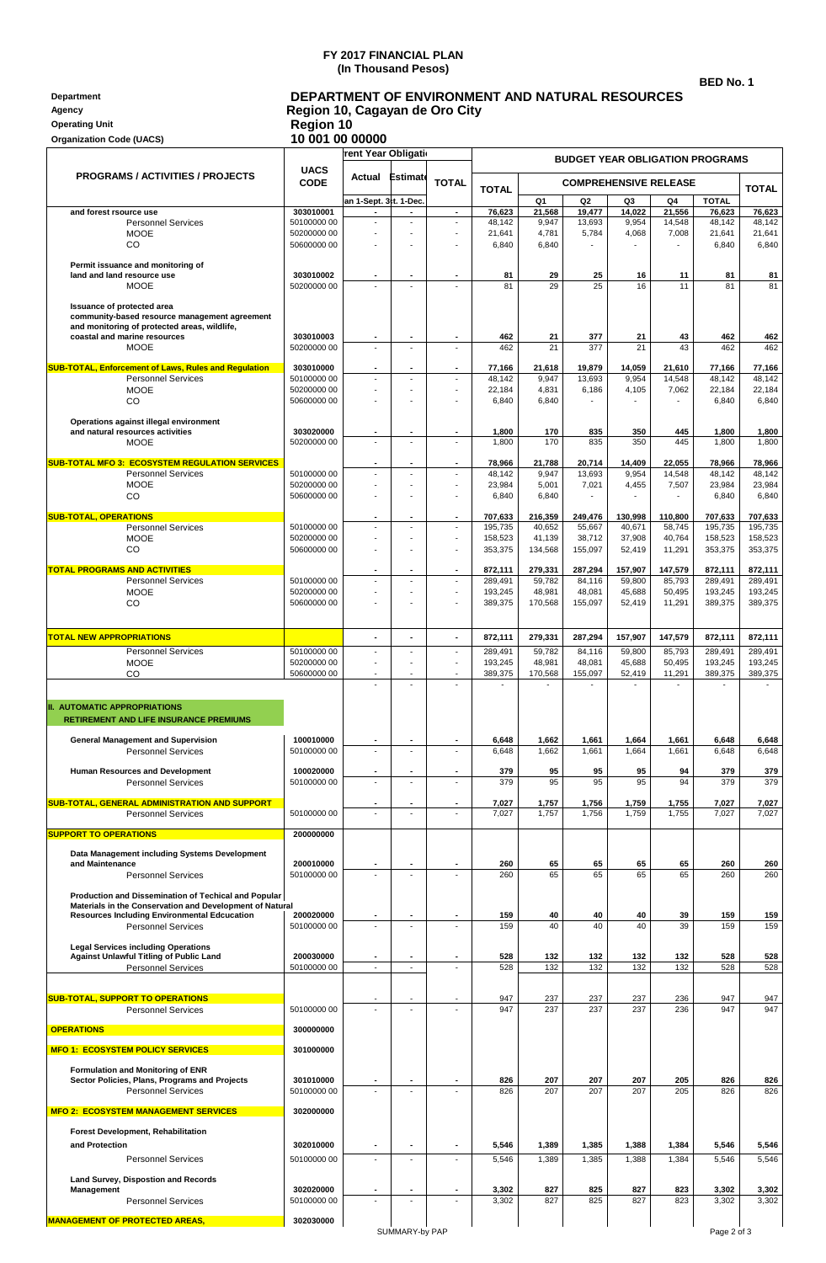## **FY 2017 FINANCIAL PLAN (In Thousand Pesos)**

**BED No. 1**

| <b>Department</b>     | DEPARTMENT OF ENVIRONMENT AND NATURAL RESOURCES |
|-----------------------|-------------------------------------------------|
| Agency                | Region 10, Cagayan de Oro City                  |
| <b>Operating Unit</b> | <b>Region 10</b>                                |

| <b>Organization Code (UACS)</b>                                                                                                   | 10 001 00 00000             |                                                    |                          |                                            |                    |                                              |                          |                  |                  |                        |                    |
|-----------------------------------------------------------------------------------------------------------------------------------|-----------------------------|----------------------------------------------------|--------------------------|--------------------------------------------|--------------------|----------------------------------------------|--------------------------|------------------|------------------|------------------------|--------------------|
|                                                                                                                                   | <b>Tent Year Obligation</b> |                                                    |                          | <b>BUDGET YEAR OBLIGATION PROGRAMS</b>     |                    |                                              |                          |                  |                  |                        |                    |
| <b>PROGRAMS / ACTIVITIES / PROJECTS</b>                                                                                           | <b>UACS</b><br>CODE         | Actual                                             | <b>Estimate</b>          | <b>TOTAL</b>                               | <b>TOTAL</b>       | <b>COMPREHENSIVE RELEASE</b><br><b>TOTAL</b> |                          |                  |                  |                        |                    |
| and forest rsource use                                                                                                            | 303010001                   | an 1-Sept. 3tt. 1-Dec.<br>$\overline{\phantom{a}}$ | $\blacksquare$           | $\sim$                                     | 76,623             | Q1<br>21,568                                 | Q <sub>2</sub><br>19,477 | Q3<br>14,022     | Q4<br>21,556     | <b>TOTAL</b><br>76,623 | 76,623             |
| <b>Personnel Services</b>                                                                                                         | 50100000 00                 | $\overline{a}$                                     |                          | $\blacksquare$                             | 48,142             | 9,947                                        | 13,693                   | 9,954            | 14,548           | 48,142                 | 48,142             |
| <b>MOOE</b><br>CO                                                                                                                 | 50200000 00<br>50600000 00  | $\overline{a}$                                     | $\overline{\phantom{a}}$ | ÷,<br>÷.                                   | 21,641<br>6,840    | 4,781<br>6,840                               | 5,784                    | 4,068            | 7,008            | 21,641<br>6,840        | 21,641<br>6,840    |
| Permit issuance and monitoring of<br>land and land resource use                                                                   | 303010002                   | ٠                                                  | $\blacksquare$           |                                            | 81                 | 29                                           | 25                       | 16               | 11               | 81                     | 81                 |
| <b>MOOE</b>                                                                                                                       | 50200000 00                 |                                                    |                          |                                            | 81                 | 29                                           | 25                       | 16               | 11               | 81                     | 81                 |
| Issuance of protected area<br>community-based resource management agreement<br>and monitoring of protected areas, wildlife,       |                             |                                                    |                          |                                            |                    |                                              |                          |                  |                  |                        |                    |
| coastal and marine resources<br><b>MOOE</b>                                                                                       | 303010003<br>50200000 00    | $\blacksquare$                                     | $\overline{\phantom{a}}$ | ÷,                                         | 462<br>462         | 21<br>21                                     | 377<br>377               | 21<br>21         | 43<br>43         | 462<br>462             | 462<br>462         |
|                                                                                                                                   |                             |                                                    |                          |                                            |                    |                                              |                          |                  |                  |                        |                    |
| <b>SUB-TOTAL, Enforcement of Laws, Rules and Regulation</b><br><b>Personnel Services</b>                                          | 303010000<br>50100000 00    | $\overline{a}$                                     | $\overline{a}$           | $\overline{\phantom{a}}$                   | 77,166<br>48,142   | 21,618<br>9,947                              | 19,879<br>13,693         | 14,059<br>9,954  | 21,610<br>14,548 | 77,166<br>48,142       | 77,166<br>48,142   |
| <b>MOOE</b>                                                                                                                       | 50200000 00                 | ÷,                                                 | $\sim$                   | $\blacksquare$                             | 22,184             | 4,831                                        | 6,186                    | 4,105            | 7,062            | 22,184                 | 22,184             |
| CO                                                                                                                                | 50600000 00                 |                                                    |                          |                                            | 6,840              | 6,840                                        |                          |                  |                  | 6,840                  | 6,840              |
| Operations against illegal environment                                                                                            | 303020000                   | $\blacksquare$                                     | $\overline{a}$           | ٠                                          |                    |                                              |                          |                  |                  |                        |                    |
| and natural resources activities<br><b>MOOE</b>                                                                                   | 50200000 00                 | ä,                                                 |                          | ÷,                                         | 1,800<br>1,800     | 170<br>170                                   | 835<br>835               | 350<br>350       | 445<br>445       | 1,800<br>1,800         | 1,800<br>1,800     |
| <b>SUB-TOTAL MFO 3: ECOSYSTEM REGULATION SERVICES</b>                                                                             |                             | Ĭ.                                                 |                          |                                            | 78,966             | 21,788                                       | 20,714                   | 14,409           | 22,055           | 78,966                 | 78,966             |
| <b>Personnel Services</b>                                                                                                         | 50100000 00                 | $\overline{a}$                                     |                          | $\overline{\phantom{a}}$                   | 48,142             | 9,947                                        | 13,693                   | 9,954            | 14,548           | 48,142                 | 48,142             |
| <b>MOOE</b>                                                                                                                       | 50200000 00                 | ä,                                                 | $\overline{\phantom{a}}$ | ÷,                                         | 23,984             | 5,001                                        | 7,021                    | 4,455            | 7,507            | 23,984                 | 23,984             |
| CO                                                                                                                                | 50600000 00                 |                                                    |                          | $\overline{a}$                             | 6,840              | 6,840                                        |                          |                  |                  | 6,840                  | 6,840              |
| <b>SUB-TOTAL, OPERATIONS</b>                                                                                                      |                             |                                                    |                          | ٠                                          | 707,633            | 216,359                                      | 249,476                  | 130,998          | 110,800          | 707,633                | 707,633            |
| <b>Personnel Services</b><br><b>MOOE</b>                                                                                          | 50100000 00<br>50200000 00  | ÷,<br>÷                                            |                          | $\blacksquare$<br>$\overline{\phantom{a}}$ | 195,735<br>158,523 | 40,652<br>41,139                             | 55,667<br>38,712         | 40,671<br>37,908 | 58,745<br>40,764 | 195,735<br>158,523     | 195,735<br>158,523 |
| CO                                                                                                                                | 50600000 00                 | ÷,                                                 |                          | $\blacksquare$                             | 353,375            | 134,568                                      | 155,097                  | 52,419           | 11,291           | 353,375                | 353,375            |
| <b>TOTAL PROGRAMS AND ACTIVITIES</b>                                                                                              |                             |                                                    |                          |                                            | 872,111            | 279,331                                      | 287,294                  | 157,907          | 147,579          | 872,111                | 872,111            |
| <b>Personnel Services</b>                                                                                                         | 50100000 00                 | $\overline{a}$                                     | $\overline{a}$           | $\blacksquare$                             | 289,491            | 59,782                                       | 84,116                   | 59,800           | 85,793           | 289,491                | 289,491            |
| <b>MOOE</b><br>CO                                                                                                                 | 50200000 00<br>50600000 00  | ÷,                                                 | $\sim$                   | $\overline{\phantom{a}}$                   | 193,245<br>389,375 | 48,981<br>170,568                            | 48,081<br>155,097        | 45,688<br>52,419 | 50,495<br>11,291 | 193,245<br>389,375     | 193,245<br>389,375 |
|                                                                                                                                   |                             |                                                    |                          |                                            |                    |                                              |                          |                  |                  |                        |                    |
| <b>TOTAL NEW APPROPRIATIONS</b>                                                                                                   |                             |                                                    |                          | ٠                                          | 872,111            | 279,331                                      | 287,294                  | 157,907          | 147,579          | 872,111                | 872,111            |
| <b>Personnel Services</b><br><b>MOOE</b>                                                                                          | 50100000 00<br>50200000 00  | $\overline{a}$<br>÷                                | $\sim$                   | $\overline{\phantom{a}}$<br>$\blacksquare$ | 289,491<br>193,245 | 59,782<br>48,981                             | 84,116<br>48,081         | 59,800<br>45,688 | 85,793<br>50,495 | 289,491<br>193,245     | 289,491<br>193,245 |
| CO                                                                                                                                | 50600000 00                 | ÷,                                                 |                          | $\blacksquare$                             | 389,375            | 170,568                                      | 155,097                  | 52,419           | 11,291           | 389,375                | 389,375            |
| <b>II. AUTOMATIC APPROPRIATIONS</b><br><b>RETIREMENT AND LIFE INSURANCE PREMIUMS</b><br><b>General Management and Supervision</b> | 100010000                   |                                                    |                          |                                            | 6,648              | 1,662                                        | 1,661                    | 1,664            | 1,661            | 6,648                  | 0,048              |
| <b>Personnel Services</b>                                                                                                         | 50100000 00                 |                                                    |                          |                                            | 6,648              | 1,662                                        | 1,661                    | 1,664            | 1,661            | 6,648                  | 6,648              |
| Human Resources and Development<br><b>Personnel Services</b>                                                                      | 100020000<br>50100000 00    |                                                    |                          |                                            | 379<br>379         | 95<br>95                                     | 95<br>95                 | 95<br>95         | 94<br>94         | 379<br>379             | 379<br>379         |
|                                                                                                                                   |                             |                                                    |                          |                                            |                    |                                              |                          |                  |                  |                        |                    |
| SUB-TOTAL, GENERAL ADMINISTRATION AND SUPPORT<br>Personnel Services                                                               | 50100000 00                 |                                                    |                          |                                            | 7,027<br>7,027     | 1,757<br>1,757                               | 1,756<br>1,756           | 1,759<br>1,759   | 1,755<br>1,755   | 7,027<br>7,027         | 7,027<br>7,027     |
| <b>SUPPORT TO OPERATIONS</b>                                                                                                      | 200000000                   |                                                    |                          |                                            |                    |                                              |                          |                  |                  |                        |                    |
| Data Management including Systems Development                                                                                     |                             |                                                    |                          |                                            |                    |                                              |                          |                  |                  |                        |                    |
| and Maintenance                                                                                                                   | 200010000                   |                                                    |                          |                                            | 260                | 65                                           | 65                       | 65               | 65               | 260                    | 260                |
| <b>Personnel Services</b>                                                                                                         | 50100000 00                 |                                                    |                          |                                            | 260                | 65                                           | 65                       | 65               | 65               | 260                    | 260                |
| Production and Dissemination of Techical and Popular<br>Materials in the Conservation and Development of Natural                  |                             |                                                    |                          |                                            |                    |                                              |                          |                  |                  |                        |                    |
| <b>Resources Including Environmental Edcucation</b>                                                                               | 200020000                   | ٠                                                  | $\blacksquare$           |                                            | 159                | 40                                           | 40                       | 40               | 39               | 159                    | 159                |
| <b>Personnel Services</b>                                                                                                         | 50100000 00                 |                                                    |                          |                                            | 159                | 40                                           | 40                       | 40               | 39               | 159                    | 159                |
| <b>Legal Services including Operations</b><br><b>Against Unlawful Titling of Public Land</b>                                      | 200030000                   |                                                    | $\blacksquare$           |                                            |                    |                                              |                          |                  |                  | 528                    |                    |
| Personnel Services                                                                                                                | 50100000 00                 | $\blacksquare$                                     | $\blacksquare$           |                                            | 528<br>528         | 132<br>132                                   | 132<br>132               | 132<br>132       | 132<br>132       | 528                    | 528<br>528         |
|                                                                                                                                   |                             |                                                    |                          |                                            |                    |                                              |                          |                  |                  |                        |                    |
| <b>SUB-TOTAL, SUPPORT TO OPERATIONS</b>                                                                                           |                             |                                                    |                          |                                            | 947                | 237                                          | 237                      | 237              | 236              | 947                    | 947                |
| <b>Personnel Services</b>                                                                                                         | 50100000 00                 |                                                    |                          |                                            | 947                | 237                                          | 237                      | 237              | 236              | 947                    | 947                |
| <b>OPERATIONS</b>                                                                                                                 | 300000000                   |                                                    |                          |                                            |                    |                                              |                          |                  |                  |                        |                    |
| <b>MFO 1: ECOSYSTEM POLICY SERVICES</b>                                                                                           | 301000000                   |                                                    |                          |                                            |                    |                                              |                          |                  |                  |                        |                    |
| Formulation and Monitoring of ENR<br>Sector Policies, Plans, Programs and Projects<br><b>Personnel Services</b>                   | 301010000<br>50100000 00    |                                                    |                          |                                            | 826<br>826         | 207<br>207                                   | 207<br>207               | 207<br>207       | 205<br>205       | 826<br>826             | 826<br>826         |
| <b>MFO 2: ECOSYSTEM MANAGEMENT SERVICES</b>                                                                                       | 302000000                   |                                                    |                          |                                            |                    |                                              |                          |                  |                  |                        |                    |
| Forest Development, Rehabilitation                                                                                                |                             |                                                    |                          |                                            |                    |                                              |                          |                  |                  |                        |                    |
| and Protection                                                                                                                    | 302010000                   |                                                    | $\blacksquare$           |                                            | 5,546              | 1,389                                        | 1,385                    | 1,388            | 1,384            | 5,546                  | 5,546              |
| <b>Personnel Services</b>                                                                                                         | 50100000 00                 | $\blacksquare$                                     |                          |                                            | 5,546              | 1,389                                        | 1,385                    | 1,388            | 1,384            | 5,546                  | 5,546              |
| Land Survey, Dispostion and Records                                                                                               |                             |                                                    |                          |                                            |                    |                                              |                          |                  |                  |                        |                    |
| Management<br><b>Personnel Services</b>                                                                                           | 302020000<br>50100000 00    | ٠                                                  | $\blacksquare$           |                                            | 3,302<br>3,302     | 827<br>827                                   | 825<br>825               | 827<br>827       | 823<br>823       | 3,302<br>3,302         | 3,302<br>3,302     |
|                                                                                                                                   |                             |                                                    |                          |                                            |                    |                                              |                          |                  |                  |                        |                    |
| <b>MANAGEMENT OF PROTECTED AREAS,</b>                                                                                             | 302030000                   |                                                    |                          |                                            |                    |                                              |                          |                  |                  |                        |                    |